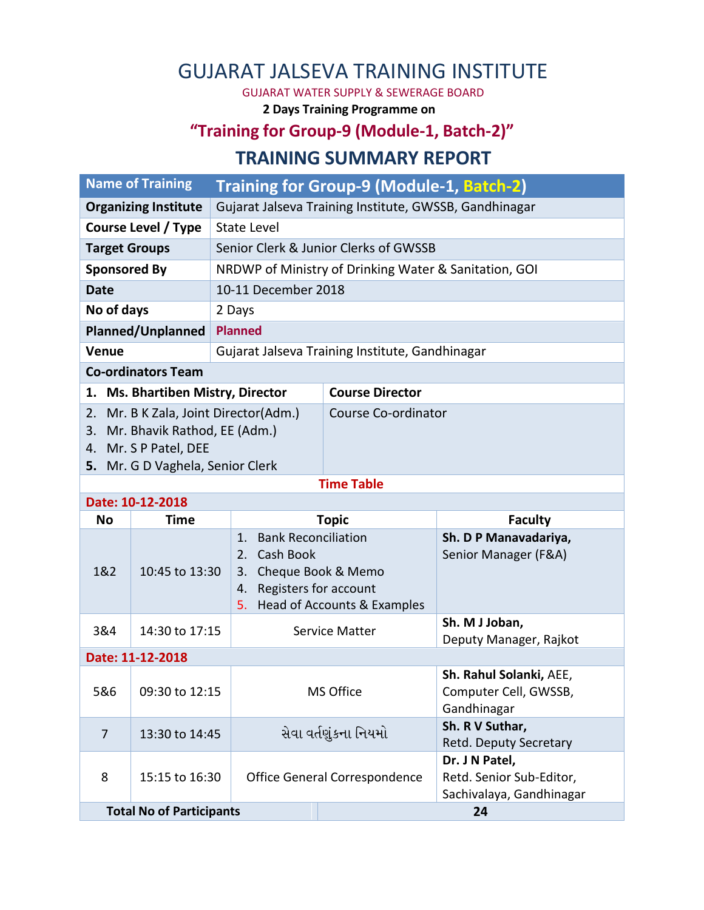# GUJARAT JALSEVA TRAINING INSTITUTE

GUJARAT WATER SUPPLY & SEWERAGE BOARD

**2 Days Training Programme on**

## **"Training for Group-9 (Module-1, Batch-2)"**

#### **TRAINING SUMMARY REPORT**

|                                   | <b>Name of Training</b>          | Training for Group-9 (Module-1, Batch-2)               |                               |                                                  |  |  |  |  |
|-----------------------------------|----------------------------------|--------------------------------------------------------|-------------------------------|--------------------------------------------------|--|--|--|--|
| <b>Organizing Institute</b>       |                                  | Gujarat Jalseva Training Institute, GWSSB, Gandhinagar |                               |                                                  |  |  |  |  |
| <b>Course Level / Type</b>        |                                  | <b>State Level</b>                                     |                               |                                                  |  |  |  |  |
| <b>Target Groups</b>              |                                  | Senior Clerk & Junior Clerks of GWSSB                  |                               |                                                  |  |  |  |  |
| <b>Sponsored By</b>               |                                  | NRDWP of Ministry of Drinking Water & Sanitation, GOI  |                               |                                                  |  |  |  |  |
| <b>Date</b>                       |                                  | 10-11 December 2018                                    |                               |                                                  |  |  |  |  |
| No of days                        |                                  | 2 Days                                                 |                               |                                                  |  |  |  |  |
| <b>Planned/Unplanned</b>          |                                  | <b>Planned</b>                                         |                               |                                                  |  |  |  |  |
| Venue                             |                                  | Gujarat Jalseva Training Institute, Gandhinagar        |                               |                                                  |  |  |  |  |
| <b>Co-ordinators Team</b>         |                                  |                                                        |                               |                                                  |  |  |  |  |
| 1. Ms. Bhartiben Mistry, Director |                                  |                                                        | <b>Course Director</b>        |                                                  |  |  |  |  |
| 2.                                |                                  | Mr. B K Zala, Joint Director(Adm.)                     | Course Co-ordinator           |                                                  |  |  |  |  |
| 3.                                | Mr. Bhavik Rathod, EE (Adm.)     |                                                        |                               |                                                  |  |  |  |  |
| 4. Mr. S P Patel, DEE             |                                  |                                                        |                               |                                                  |  |  |  |  |
|                                   | 5. Mr. G D Vaghela, Senior Clerk |                                                        |                               |                                                  |  |  |  |  |
|                                   | Date: 10-12-2018                 |                                                        | <b>Time Table</b>             |                                                  |  |  |  |  |
| <b>No</b>                         | <b>Time</b>                      | <b>Topic</b>                                           |                               | <b>Faculty</b>                                   |  |  |  |  |
|                                   |                                  | <b>Bank Reconciliation</b><br>1.                       |                               | Sh. D P Manavadariya,                            |  |  |  |  |
|                                   | 10:45 to 13:30                   | Cash Book<br>2.                                        |                               | Senior Manager (F&A)                             |  |  |  |  |
| 1&2                               |                                  | 3. Cheque Book & Memo                                  |                               |                                                  |  |  |  |  |
|                                   |                                  | Registers for account<br>4.                            |                               |                                                  |  |  |  |  |
|                                   |                                  | 5.                                                     | Head of Accounts & Examples   |                                                  |  |  |  |  |
| 3&4<br>14:30 to 17:15             |                                  |                                                        | Service Matter                | Sh. M J Joban,                                   |  |  |  |  |
|                                   |                                  |                                                        |                               | Deputy Manager, Rajkot                           |  |  |  |  |
| Date: 11-12-2018                  |                                  |                                                        |                               |                                                  |  |  |  |  |
|                                   |                                  |                                                        | MS Office                     | Sh. Rahul Solanki, AEE,<br>Computer Cell, GWSSB, |  |  |  |  |
|                                   | 5&6   09:30 to 12:15             |                                                        |                               | Gandhinagar                                      |  |  |  |  |
|                                   |                                  |                                                        |                               | Sh. R V Suthar,                                  |  |  |  |  |
| 13:30 to 14:45<br>$\overline{7}$  |                                  | સેવા વર્તણુંકના નિયમો                                  | Retd. Deputy Secretary        |                                                  |  |  |  |  |
|                                   | 15:15 to 16:30                   |                                                        |                               | Dr. J N Patel,                                   |  |  |  |  |
| 8                                 |                                  |                                                        | Office General Correspondence | Retd. Senior Sub-Editor,                         |  |  |  |  |
|                                   |                                  |                                                        |                               | Sachivalaya, Gandhinagar                         |  |  |  |  |
|                                   | <b>Total No of Participants</b>  |                                                        |                               | 24                                               |  |  |  |  |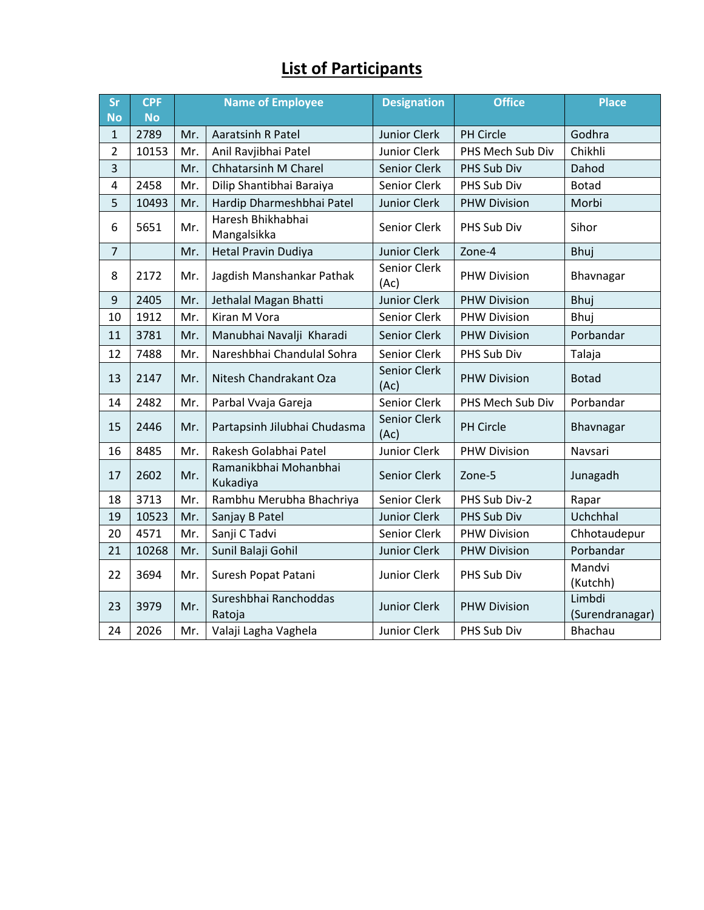## **List of Participants**

| <b>Sr</b><br><b>No</b> | <b>CPF</b><br><b>No</b> | <b>Name of Employee</b> |                                   | <b>Designation</b>   | <b>Office</b>       | <b>Place</b>              |
|------------------------|-------------------------|-------------------------|-----------------------------------|----------------------|---------------------|---------------------------|
| $\mathbf{1}$           | 2789                    | Mr.                     | <b>Aaratsinh R Patel</b>          | <b>Junior Clerk</b>  | PH Circle           | Godhra                    |
| $\overline{2}$         | 10153                   | Mr.                     | Anil Ravjibhai Patel              | Junior Clerk         | PHS Mech Sub Div    | Chikhli                   |
| 3                      |                         | Mr.                     | <b>Chhatarsinh M Charel</b>       | Senior Clerk         | PHS Sub Div         | Dahod                     |
| 4                      | 2458                    | Mr.                     | Dilip Shantibhai Baraiya          | Senior Clerk         | PHS Sub Div         | <b>Botad</b>              |
| 5                      | 10493                   | Mr.                     | Hardip Dharmeshbhai Patel         | Junior Clerk         | <b>PHW Division</b> | Morbi                     |
| 6                      | 5651                    | Mr.                     | Haresh Bhikhabhai<br>Mangalsikka  | Senior Clerk         | PHS Sub Div         | Sihor                     |
| $\overline{7}$         |                         | Mr.                     | <b>Hetal Pravin Dudiya</b>        | <b>Junior Clerk</b>  | Zone-4              | Bhuj                      |
| 8                      | 2172                    | Mr.                     | Jagdish Manshankar Pathak         | Senior Clerk<br>(Ac) | <b>PHW Division</b> | Bhavnagar                 |
| 9                      | 2405                    | Mr.                     | Jethalal Magan Bhatti             | <b>Junior Clerk</b>  | <b>PHW Division</b> | <b>Bhuj</b>               |
| 10                     | 1912                    | Mr.                     | Kiran M Vora                      | Senior Clerk         | <b>PHW Division</b> | Bhuj                      |
| 11                     | 3781                    | Mr.                     | Manubhai Navalji Kharadi          | Senior Clerk         | <b>PHW Division</b> | Porbandar                 |
| 12                     | 7488                    | Mr.                     | Nareshbhai Chandulal Sohra        | Senior Clerk         | PHS Sub Div         | Talaja                    |
| 13                     | 2147                    | Mr.                     | Nitesh Chandrakant Oza            | Senior Clerk<br>(Ac) | <b>PHW Division</b> | <b>Botad</b>              |
| 14                     | 2482                    | Mr.                     | Parbal Vvaja Gareja               | Senior Clerk         | PHS Mech Sub Div    | Porbandar                 |
| 15                     | 2446                    | Mr.                     | Partapsinh Jilubhai Chudasma      | Senior Clerk<br>(Ac) | PH Circle           | Bhavnagar                 |
| 16                     | 8485                    | Mr.                     | Rakesh Golabhai Patel             | Junior Clerk         | <b>PHW Division</b> | Navsari                   |
| 17                     | 2602                    | Mr.                     | Ramanikbhai Mohanbhai<br>Kukadiya | Senior Clerk         | Zone-5              | Junagadh                  |
| 18                     | 3713                    | Mr.                     | Rambhu Merubha Bhachriya          | Senior Clerk         | PHS Sub Div-2       | Rapar                     |
| 19                     | 10523                   | Mr.                     | Sanjay B Patel                    | <b>Junior Clerk</b>  | PHS Sub Div         | Uchchhal                  |
| 20                     | 4571                    | Mr.                     | Sanji C Tadvi                     | Senior Clerk         | <b>PHW Division</b> | Chhotaudepur              |
| 21                     | 10268                   | Mr.                     | Sunil Balaji Gohil                | <b>Junior Clerk</b>  | <b>PHW Division</b> | Porbandar                 |
| 22                     | 3694                    | Mr.                     | Suresh Popat Patani               | Junior Clerk         | PHS Sub Div         | Mandvi<br>(Kutchh)        |
| 23                     | 3979                    | Mr.                     | Sureshbhai Ranchoddas<br>Ratoja   | <b>Junior Clerk</b>  | <b>PHW Division</b> | Limbdi<br>(Surendranagar) |
| 24                     | 2026                    | Mr.                     | Valaji Lagha Vaghela              | Junior Clerk         | PHS Sub Div         | <b>Bhachau</b>            |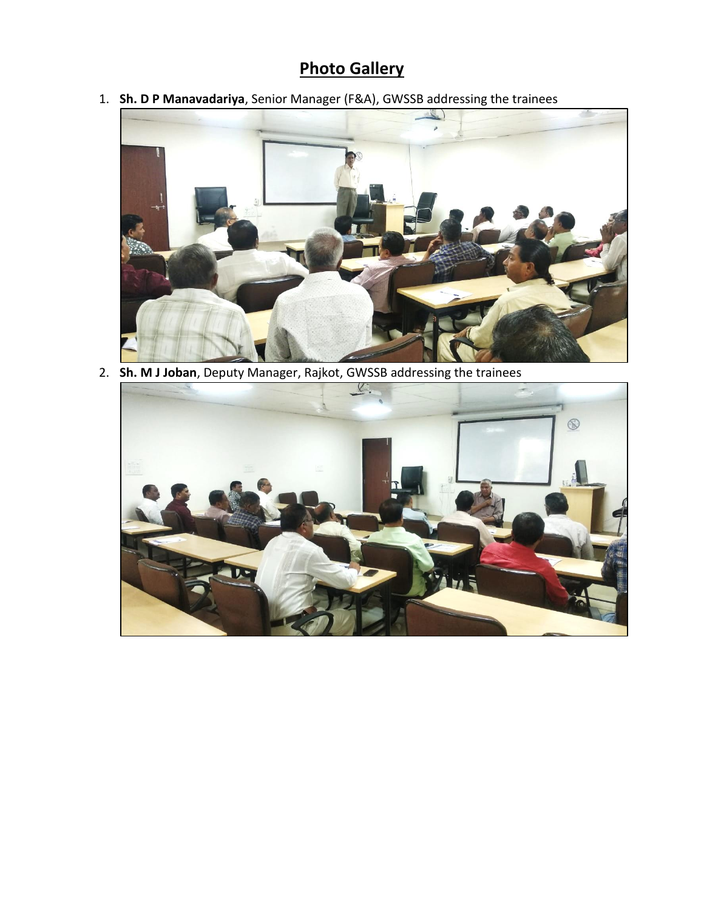### **Photo Gallery**

1. **Sh. D P Manavadariya**, Senior Manager (F&A), GWSSB addressing the trainees



2. **Sh. M J Joban**, Deputy Manager, Rajkot, GWSSB addressing the trainees

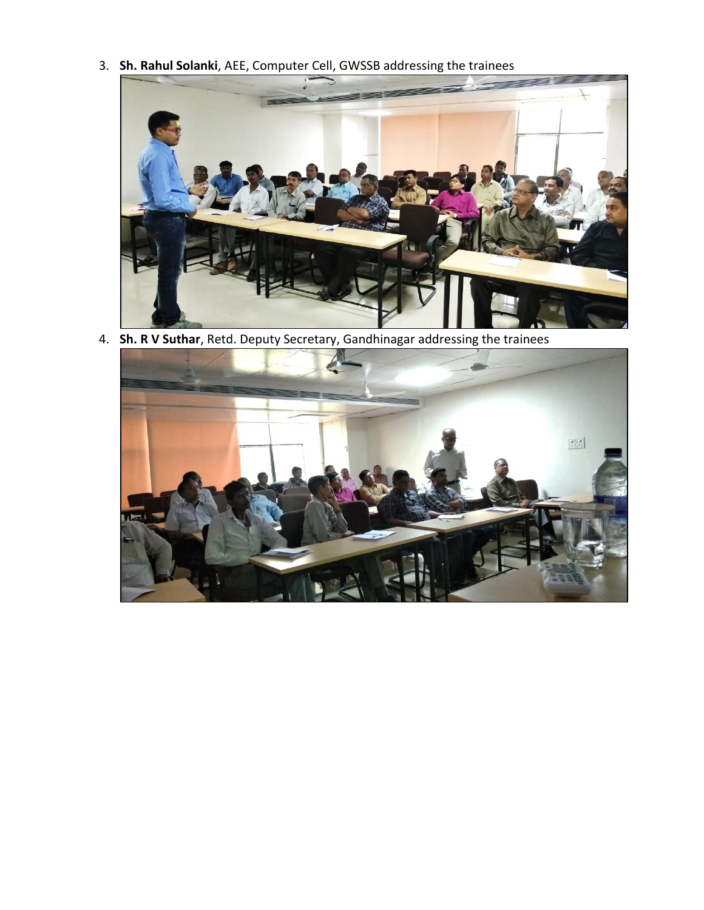3. **Sh. Rahul Solanki**, AEE, Computer Cell, GWSSB addressing the trainees



4. **Sh. R V Suthar**, Retd. Deputy Secretary, Gandhinagar addressing the trainees